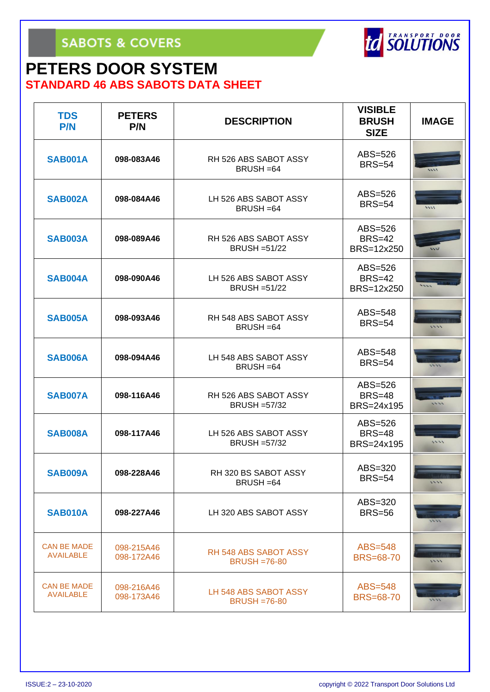#### **PETERS DOOR SYSTEM STANDARD 46 ABS SABOTS DATA SHEET**

| <b>TDS</b><br><b>P/N</b>               | <b>PETERS</b><br>P/N     | <b>DESCRIPTION</b>                                  | <b>VISIBLE</b><br><b>BRUSH</b><br><b>SIZE</b> | <b>IMAGE</b> |
|----------------------------------------|--------------------------|-----------------------------------------------------|-----------------------------------------------|--------------|
| <b>SAB001A</b>                         | 098-083A46               | RH 526 ABS SABOT ASSY<br>BRUSH = 64                 | $ABS = 526$<br><b>BRS=54</b>                  | 5555         |
| <b>SAB002A</b>                         | 098-084A46               | LH 526 ABS SABOT ASSY<br>BRUSH = 64                 | ABS=526<br><b>BRS=54</b>                      | 5555         |
| <b>SAB003A</b>                         | 098-089A46               | RH 526 ABS SABOT ASSY<br><b>BRUSH = 51/22</b>       | ABS=526<br><b>BRS=42</b><br>BRS=12x250        |              |
| <b>SAB004A</b>                         | 098-090A46               | LH 526 ABS SABOT ASSY<br><b>BRUSH = 51/22</b>       | ABS=526<br><b>BRS=42</b><br>BRS=12x250        |              |
| <b>SAB005A</b>                         | 098-093A46               | RH 548 ABS SABOT ASSY<br>BRUSH = 64                 | ABS=548<br><b>BRS=54</b>                      | 5553         |
| <b>SAB006A</b>                         | 098-094A46               | LH 548 ABS SABOT ASSY<br>BRUSH = 64                 | ABS=548<br><b>BRS=54</b>                      |              |
| <b>SAB007A</b>                         | 098-116A46               | RH 526 ABS SABOT ASSY<br><b>BRUSH = 57/32</b>       | ABS=526<br><b>BRS=48</b><br>BRS=24x195        | 55.53        |
| <b>SAB008A</b>                         | 098-117A46               | LH 526 ABS SABOT ASSY<br><b>BRUSH = 57/32</b>       | ABS=526<br><b>BRS=48</b><br>BRS=24x195        | 1111         |
| SAB009A                                | 098-228A46               | RH 320 BS SABOT ASSY<br>BRUSH = 64                  | ABS=320<br><b>BRS=54</b>                      | 1111         |
| <b>SAB010A</b>                         | 098-227A46               | LH 320 ABS SABOT ASSY                               | $ABS=320$<br><b>BRS=56</b>                    |              |
| <b>CAN BE MADE</b><br><b>AVAILABLE</b> | 098-215A46<br>098-172A46 | <b>RH 548 ABS SABOT ASSY</b><br><b>BRUSH =76-80</b> | $ABS = 548$<br><b>BRS=68-70</b>               | 5555         |
| <b>CAN BE MADE</b><br><b>AVAILABLE</b> | 098-216A46<br>098-173A46 | LH 548 ABS SABOT ASSY<br><b>BRUSH =76-80</b>        | $ABS=548$<br><b>BRS=68-70</b>                 |              |

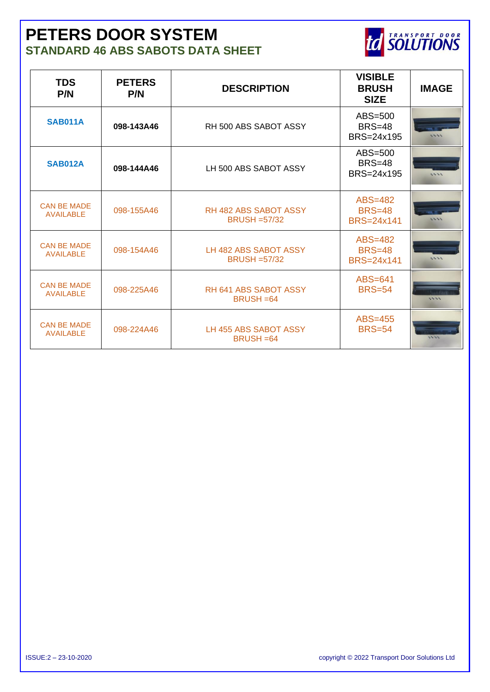#### **PETERS DOOR SYSTEM STANDARD 46 ABS SABOTS DATA SHEET**



| <b>TDS</b><br>P/N                      | <b>PETERS</b><br>P/N | <b>DESCRIPTION</b>                              | <b>VISIBLE</b><br><b>BRUSH</b><br><b>SIZE</b> | <b>IMAGE</b> |
|----------------------------------------|----------------------|-------------------------------------------------|-----------------------------------------------|--------------|
| <b>SAB011A</b>                         | 098-143A46           | RH 500 ABS SABOT ASSY                           | ABS=500<br>$BRS=48$<br>BRS=24x195             | 5553         |
| <b>SAB012A</b>                         | 098-144A46           | LH 500 ABS SABOT ASSY                           | ABS=500<br>$BRS=48$<br>BRS=24x195             | 1444         |
| <b>CAN BE MADE</b><br><b>AVAILABLE</b> | 098-155A46           | <b>RH 482 ABS SABOT ASSY</b><br>$BRUSH = 57/32$ | ABS=482<br><b>BRS=48</b><br>BRS=24x141        | 5553         |
| <b>CAN BE MADE</b><br><b>AVAILABLE</b> | 098-154A46           | LH 482 ABS SABOT ASSY<br>$BRUSH = 57/32$        | ABS=482<br><b>BRS=48</b><br><b>BRS=24x141</b> | 1444         |
| <b>CAN BE MADE</b><br><b>AVAILABLE</b> | 098-225A46           | RH 641 ABS SABOT ASSY<br>$BRUSH = 64$           | ABS=641<br><b>BRS=54</b>                      | 1111         |
| <b>CAN BE MADE</b><br><b>AVAILABLE</b> | 098-224A46           | LH 455 ABS SABOT ASSY<br>$BRUSH = 64$           | ABS=455<br><b>BRS=54</b>                      | 5434         |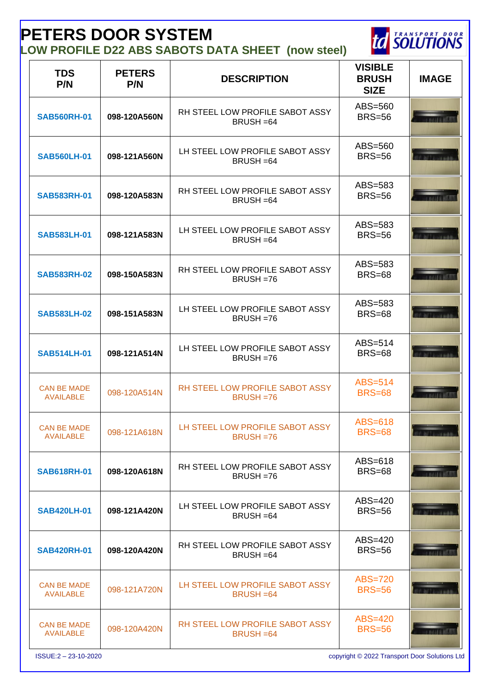# **PETERS DOOR SYSTEM**

**LOW PROFILE D22 ABS SABOTS DATA SHEET (now steel)**



| <b>TDS</b><br>P/N                      | <b>PETERS</b><br>P/N | <b>DESCRIPTION</b>                                   | <b>VISIBLE</b><br><b>BRUSH</b><br><b>SIZE</b> | <b>IMAGE</b> |
|----------------------------------------|----------------------|------------------------------------------------------|-----------------------------------------------|--------------|
| <b>SAB560RH-01</b>                     | 098-120A560N         | RH STEEL LOW PROFILE SABOT ASSY<br>BRUSH = 64        | ABS=560<br><b>BRS=56</b>                      |              |
| <b>SAB560LH-01</b>                     | 098-121A560N         | LH STEEL LOW PROFILE SABOT ASSY<br>BRUSH = 64        | ABS=560<br><b>BRS=56</b>                      |              |
| <b>SAB583RH-01</b>                     | 098-120A583N         | RH STEEL LOW PROFILE SABOT ASSY<br>BRUSH = 64        | ABS=583<br><b>BRS=56</b>                      |              |
| <b>SAB583LH-01</b>                     | 098-121A583N         | LH STEEL LOW PROFILE SABOT ASSY<br>BRUSH = 64        | ABS=583<br><b>BRS=56</b>                      |              |
| <b>SAB583RH-02</b>                     | 098-150A583N         | RH STEEL LOW PROFILE SABOT ASSY<br>BRUSH = 76        | ABS=583<br><b>BRS=68</b>                      |              |
| <b>SAB583LH-02</b>                     | 098-151A583N         | LH STEEL LOW PROFILE SABOT ASSY<br>BRUSH = 76        | ABS=583<br><b>BRS=68</b>                      |              |
| <b>SAB514LH-01</b>                     | 098-121A514N         | LH STEEL LOW PROFILE SABOT ASSY<br>BRUSH = 76        | $ABS=514$<br><b>BRS=68</b>                    |              |
| <b>CAN BE MADE</b><br><b>AVAILABLE</b> | 098-120A514N         | RH STEEL LOW PROFILE SABOT ASSY<br><b>BRUSH =76</b>  | ABS=514<br><b>BRS=68</b>                      |              |
| <b>CAN BE MADE</b><br><b>AVAILABLE</b> | 098-121A618N         | LH STEEL LOW PROFILE SABOT ASSY<br>$BRUSH = 76$      | ABS=618<br><b>BRS=68</b>                      |              |
| <b>SAB618RH-01</b>                     | 098-120A618N         | RH STEEL LOW PROFILE SABOT ASSY<br>BRUSH = 76        | $ABS=618$<br><b>BRS=68</b>                    |              |
| <b>SAB420LH-01</b>                     | 098-121A420N         | LH STEEL LOW PROFILE SABOT ASSY<br>BRUSH = 64        | $ABS=420$<br><b>BRS=56</b>                    |              |
| <b>SAB420RH-01</b>                     | 098-120A420N         | RH STEEL LOW PROFILE SABOT ASSY<br>BRUSH = 64        | $ABS=420$<br><b>BRS=56</b>                    |              |
| <b>CAN BE MADE</b><br><b>AVAILABLE</b> | 098-121A720N         | LH STEEL LOW PROFILE SABOT ASSY<br><b>BRUSH = 64</b> | ABS=720<br><b>BRS=56</b>                      |              |
| <b>CAN BE MADE</b><br><b>AVAILABLE</b> | 098-120A420N         | RH STEEL LOW PROFILE SABOT ASSY<br><b>BRUSH = 64</b> | ABS=420<br><b>BRS=56</b>                      |              |

ISSUE:2 – 23-10-2020 copyright © 2022 Transport Door Solutions Ltd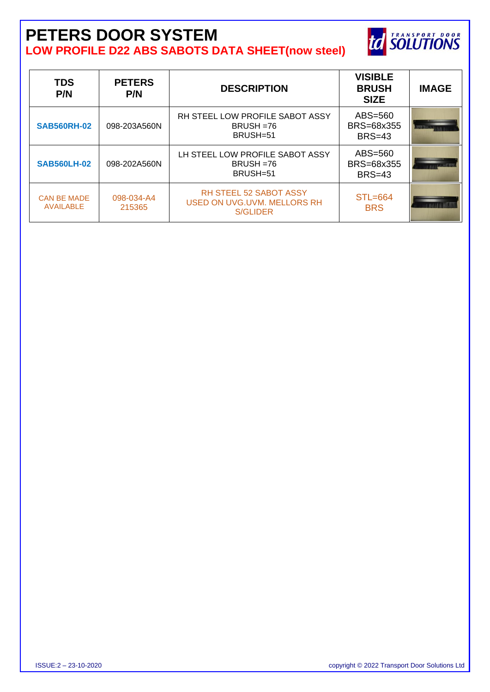## **PETERS DOOR SYSTEM LOW PROFILE D22 ABS SABOTS DATA SHEET(now steel)**



| <b>TDS</b><br>P/N                      | <b>PETERS</b><br>P/N | <b>DESCRIPTION</b>                                                       | <b>VISIBLE</b><br><b>BRUSH</b><br><b>SIZE</b> | <b>IMAGE</b> |
|----------------------------------------|----------------------|--------------------------------------------------------------------------|-----------------------------------------------|--------------|
| <b>SAB560RH-02</b>                     | 098-203A560N         | RH STEEL LOW PROFILE SABOT ASSY<br>$BRUSH = 76$<br>BRUSH=51              | ABS=560<br>BRS=68x355<br>$BRS=43$             |              |
| <b>SAB560LH-02</b>                     | 098-202A560N         | LH STEEL LOW PROFILE SABOT ASSY<br>$BRUSH = 76$<br>BRUSH=51              | ABS=560<br>BRS=68x355<br><b>BRS=43</b>        |              |
| <b>CAN BE MADE</b><br><b>AVAILABLE</b> | 098-034-A4<br>215365 | <b>RH STEEL 52 SABOT ASSY</b><br>USED ON UVG.UVM. MELLORS RH<br>S/GLIDER | $STL = 664$<br><b>BRS</b>                     |              |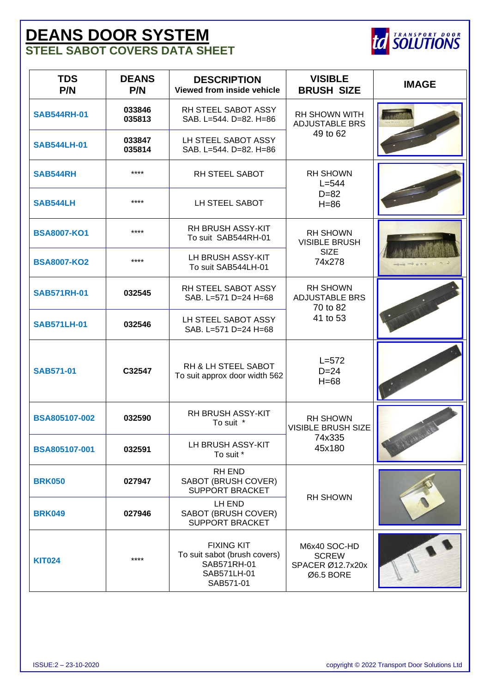## **DEANS DOOR SYSTEM STEEL SABOT COVERS DATA SHEET**



| <b>TDS</b><br>P/N    | <b>DEANS</b><br>P/N | <b>DESCRIPTION</b><br>Viewed from inside vehicle                                             | <b>VISIBLE</b><br><b>BRUSH SIZE</b>                           | <b>IMAGE</b> |
|----------------------|---------------------|----------------------------------------------------------------------------------------------|---------------------------------------------------------------|--------------|
| <b>SAB544RH-01</b>   | 033846<br>035813    | RH STEEL SABOT ASSY<br>SAB. L=544. D=82. H=86                                                | <b>RH SHOWN WITH</b><br><b>ADJUSTABLE BRS</b>                 |              |
| <b>SAB544LH-01</b>   | 033847<br>035814    | LH STEEL SABOT ASSY<br>SAB. L=544. D=82. H=86                                                | 49 to 62                                                      |              |
| SAB544RH             | ****                | RH STEEL SABOT                                                                               | <b>RH SHOWN</b><br>$L = 544$                                  |              |
| <b>SAB544LH</b>      | ****                | LH STEEL SABOT                                                                               | $D = 82$<br>$H = 86$                                          |              |
| <b>BSA8007-KO1</b>   | ****                | <b>RH BRUSH ASSY-KIT</b><br>To suit SAB544RH-01                                              | <b>RH SHOWN</b><br><b>VISIBLE BRUSH</b>                       |              |
| <b>BSA8007-KO2</b>   | ****                | LH BRUSH ASSY-KIT<br>To suit SAB544LH-01                                                     | <b>SIZE</b><br>74x278                                         |              |
| <b>SAB571RH-01</b>   | 032545              | RH STEEL SABOT ASSY<br>SAB. L=571 D=24 H=68                                                  | <b>RH SHOWN</b><br><b>ADJUSTABLE BRS</b><br>70 to 82          |              |
| <b>SAB571LH-01</b>   | 032546              | LH STEEL SABOT ASSY<br>SAB. L=571 D=24 H=68                                                  | 41 to 53                                                      |              |
| <b>SAB571-01</b>     | C32547              | RH & LH STEEL SABOT<br>To suit approx door width 562                                         | $L = 572$<br>$D=24$<br>$H=68$                                 |              |
| BSA805107-002        | 032590              | RH BRUSH ASSY-KIT<br>To suit *                                                               | <b>RH SHOWN</b><br><b>VISIBLE BRUSH SIZE</b>                  |              |
| <b>BSA805107-001</b> | 032591              | LH BRUSH ASSY-KIT<br>To suit *                                                               | 74x335<br>45x180                                              |              |
| <b>BRK050</b>        | 027947              | RH END<br>SABOT (BRUSH COVER)<br><b>SUPPORT BRACKET</b>                                      | <b>RH SHOWN</b>                                               |              |
| <b>BRK049</b>        | 027946              | LH END<br>SABOT (BRUSH COVER)<br><b>SUPPORT BRACKET</b>                                      |                                                               |              |
| <b>KIT024</b>        | ****                | <b>FIXING KIT</b><br>To suit sabot (brush covers)<br>SAB571RH-01<br>SAB571LH-01<br>SAB571-01 | M6x40 SOC-HD<br><b>SCREW</b><br>SPACER Ø12.7x20x<br>Ø6.5 BORE |              |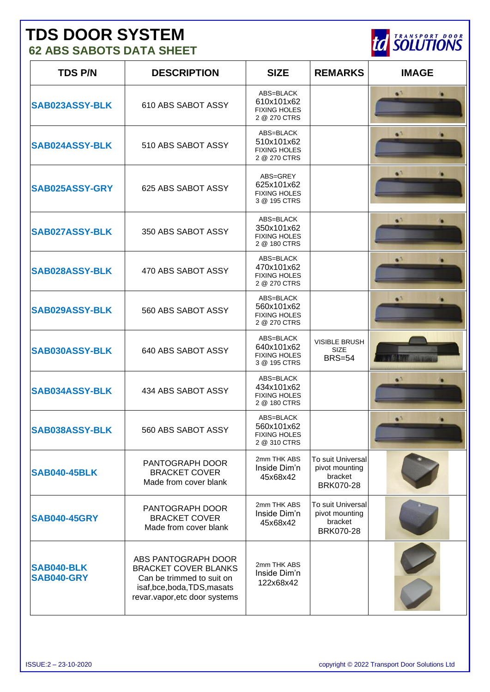# **TDS DOOR SYSTEM**

**62 ABS SABOTS DATA SHEET**

| <b>TDS P/N</b>                  | <b>DESCRIPTION</b>                                                                                                                           | <b>SIZE</b>                                                    | <b>REMARKS</b>                                                     | <b>IMAGE</b> |
|---------------------------------|----------------------------------------------------------------------------------------------------------------------------------------------|----------------------------------------------------------------|--------------------------------------------------------------------|--------------|
| SAB023ASSY-BLK                  | 610 ABS SABOT ASSY                                                                                                                           | ABS=BLACK<br>610x101x62<br><b>FIXING HOLES</b><br>2 @ 270 CTRS |                                                                    | $\bullet$    |
| <b>SAB024ASSY-BLK</b>           | 510 ABS SABOT ASSY                                                                                                                           | ABS=BLACK<br>510x101x62<br><b>FIXING HOLES</b><br>2 @ 270 CTRS |                                                                    | $\bullet$    |
| SAB025ASSY-GRY                  | 625 ABS SABOT ASSY                                                                                                                           | ABS=GREY<br>625x101x62<br><b>FIXING HOLES</b><br>3 @ 195 CTRS  |                                                                    | $\bullet$    |
| <b>SAB027ASSY-BLK</b>           | 350 ABS SABOT ASSY                                                                                                                           | ABS=BLACK<br>350x101x62<br><b>FIXING HOLES</b><br>2 @ 180 CTRS |                                                                    | $\bullet$    |
| <b>SAB028ASSY-BLK</b>           | 470 ABS SABOT ASSY                                                                                                                           | ABS=BLACK<br>470x101x62<br><b>FIXING HOLES</b><br>2 @ 270 CTRS |                                                                    | $\bullet$    |
| <b>SAB029ASSY-BLK</b>           | 560 ABS SABOT ASSY                                                                                                                           | ABS=BLACK<br>560x101x62<br><b>FIXING HOLES</b><br>2 @ 270 CTRS |                                                                    | $\bullet$    |
| <b>SAB030ASSY-BLK</b>           | 640 ABS SABOT ASSY                                                                                                                           | ABS=BLACK<br>640x101x62<br><b>FIXING HOLES</b><br>3 @ 195 CTRS | <b>VISIBLE BRUSH</b><br><b>SIZE</b><br><b>BRS=54</b>               |              |
| <b>SAB034ASSY-BLK</b>           | 434 ABS SABOT ASSY                                                                                                                           | ABS=BLACK<br>434x101x62<br><b>FIXING HOLES</b><br>2 @ 180 CTRS |                                                                    | $\bullet$    |
| SAB038ASSY-BLK                  | 560 ABS SABOT ASSY                                                                                                                           | ABS=BLACK<br>560x101x62<br><b>FIXING HOLES</b><br>2 @ 310 CTRS |                                                                    | $\bullet$    |
| <b>SAB040-45BLK</b>             | PANTOGRAPH DOOR<br><b>BRACKET COVER</b><br>Made from cover blank                                                                             | 2mm THK ABS<br>Inside Dim'n<br>45x68x42                        | To suit Universal<br>pivot mounting<br>bracket<br><b>BRK070-28</b> |              |
| <b>SAB040-45GRY</b>             | PANTOGRAPH DOOR<br><b>BRACKET COVER</b><br>Made from cover blank                                                                             | 2mm THK ABS<br>Inside Dim'n<br>45x68x42                        | To suit Universal<br>pivot mounting<br>bracket<br><b>BRK070-28</b> |              |
| <b>SAB040-BLK</b><br>SAB040-GRY | ABS PANTOGRAPH DOOR<br><b>BRACKET COVER BLANKS</b><br>Can be trimmed to suit on<br>isaf,bce,boda,TDS,masats<br>revar.vapor, etc door systems | 2mm THK ABS<br>Inside Dim'n<br>122x68x42                       |                                                                    |              |